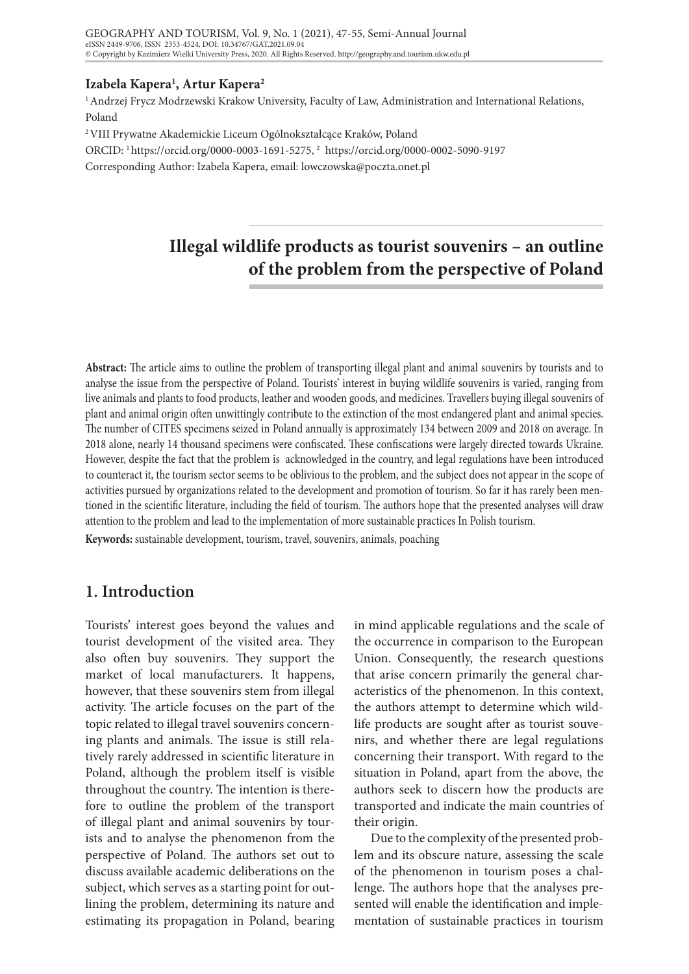## **Izabela Kapera1 , Artur Kapera2**

<sup>1</sup> Andrzej Frycz Modrzewski Krakow University, Faculty of Law, Administration and International Relations, Poland

2 VIII Prywatne Akademickie Liceum Ogólnokształcące Kraków, Poland

ORCID: 1 https://orcid.org/0000-0003-1691-5275, 2 https://orcid.org/0000-0002-5090-9197

Corresponding Author: Izabela Kapera, email: lowczowska@poczta.onet.pl

# **Illegal wildlife products as tourist souvenirs – an outline of the problem from the perspective of Poland**

**Abstract:** The article aims to outline the problem of transporting illegal plant and animal souvenirs by tourists and to analyse the issue from the perspective of Poland. Tourists' interest in buying wildlife souvenirs is varied, ranging from live animals and plants to food products, leather and wooden goods, and medicines. Travellers buying illegal souvenirs of plant and animal origin often unwittingly contribute to the extinction of the most endangered plant and animal species. The number of CITES specimens seized in Poland annually is approximately 134 between 2009 and 2018 on average. In 2018 alone, nearly 14 thousand specimens were confiscated. These confiscations were largely directed towards Ukraine. However, despite the fact that the problem is acknowledged in the country, and legal regulations have been introduced to counteract it, the tourism sector seems to be oblivious to the problem, and the subject does not appear in the scope of activities pursued by organizations related to the development and promotion of tourism. So far it has rarely been mentioned in the scientific literature, including the field of tourism. The authors hope that the presented analyses will draw attention to the problem and lead to the implementation of more sustainable practices In Polish tourism.

**Keywords:** sustainable development, tourism, travel, souvenirs, animals, poaching

## **1. Introduction**

Tourists' interest goes beyond the values and tourist development of the visited area. They also often buy souvenirs. They support the market of local manufacturers. It happens, however, that these souvenirs stem from illegal activity. The article focuses on the part of the topic related to illegal travel souvenirs concerning plants and animals. The issue is still relatively rarely addressed in scientific literature in Poland, although the problem itself is visible throughout the country. The intention is therefore to outline the problem of the transport of illegal plant and animal souvenirs by tourists and to analyse the phenomenon from the perspective of Poland. The authors set out to discuss available academic deliberations on the subject, which serves as a starting point for outlining the problem, determining its nature and estimating its propagation in Poland, bearing

in mind applicable regulations and the scale of the occurrence in comparison to the European Union. Consequently, the research questions that arise concern primarily the general characteristics of the phenomenon. In this context, the authors attempt to determine which wildlife products are sought after as tourist souvenirs, and whether there are legal regulations concerning their transport. With regard to the situation in Poland, apart from the above, the authors seek to discern how the products are transported and indicate the main countries of their origin.

Due to the complexity of the presented problem and its obscure nature, assessing the scale of the phenomenon in tourism poses a challenge. The authors hope that the analyses presented will enable the identification and implementation of sustainable practices in tourism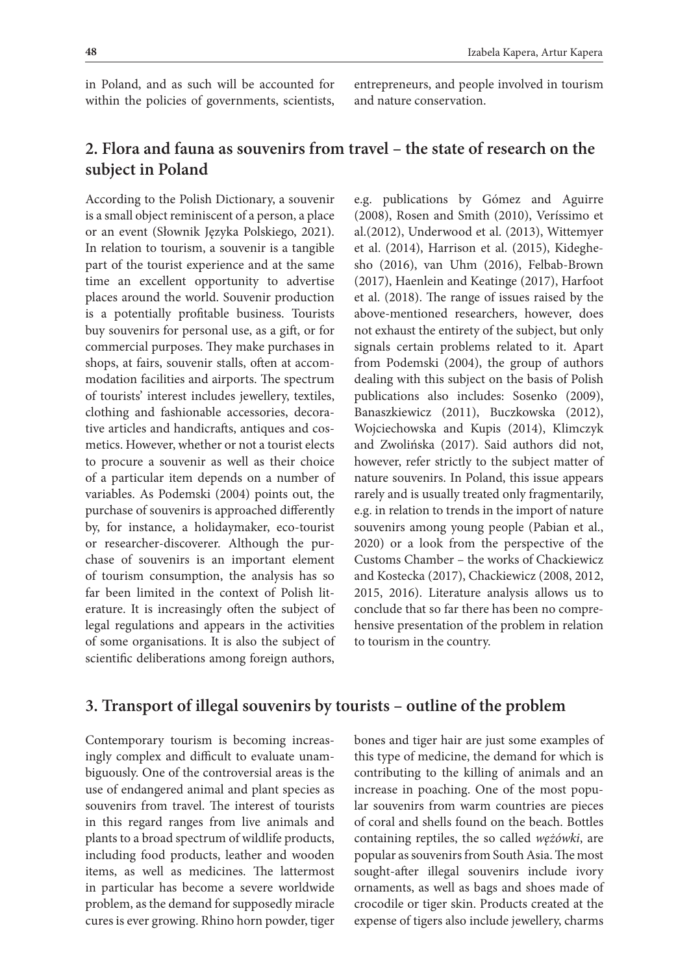in Poland, and as such will be accounted for within the policies of governments, scientists, entrepreneurs, and people involved in tourism and nature conservation.

# **2. Flora and fauna as souvenirs from travel – the state of research on the subject in Poland**

According to the Polish Dictionary, a souvenir is a small object reminiscent of a person, a place or an event (Słownik Języka Polskiego, 2021). In relation to tourism, a souvenir is a tangible part of the tourist experience and at the same time an excellent opportunity to advertise places around the world. Souvenir production is a potentially profitable business. Tourists buy souvenirs for personal use, as a gift, or for commercial purposes. They make purchases in shops, at fairs, souvenir stalls, often at accommodation facilities and airports. The spectrum of tourists' interest includes jewellery, textiles, clothing and fashionable accessories, decorative articles and handicrafts, antiques and cosmetics. However, whether or not a tourist elects to procure a souvenir as well as their choice of a particular item depends on a number of variables. As Podemski (2004) points out, the purchase of souvenirs is approached differently by, for instance, a holidaymaker, eco-tourist or researcher-discoverer. Although the purchase of souvenirs is an important element of tourism consumption, the analysis has so far been limited in the context of Polish literature. It is increasingly often the subject of legal regulations and appears in the activities of some organisations. It is also the subject of scientific deliberations among foreign authors,

e.g. publications by Gómez and Aguirre (2008), Rosen and Smith (2010), Veríssimo et al.(2012), Underwood et al. (2013), Wittemyer et al. (2014), Harrison et al. (2015), Kideghesho (2016), van Uhm (2016), Felbab-Brown (2017), Haenlein and Keatinge (2017), Harfoot et al. (2018). The range of issues raised by the above-mentioned researchers, however, does not exhaust the entirety of the subject, but only signals certain problems related to it. Apart from Podemski (2004), the group of authors dealing with this subject on the basis of Polish publications also includes: Sosenko (2009), Banaszkiewicz (2011), Buczkowska (2012), Wojciechowska and Kupis (2014), Klimczyk and Zwolińska (2017). Said authors did not, however, refer strictly to the subject matter of nature souvenirs. In Poland, this issue appears rarely and is usually treated only fragmentarily, e.g. in relation to trends in the import of nature souvenirs among young people (Pabian et al., 2020) or a look from the perspective of the Customs Chamber – the works of Chackiewicz and Kostecka (2017), Chackiewicz (2008, 2012, 2015, 2016). Literature analysis allows us to conclude that so far there has been no comprehensive presentation of the problem in relation to tourism in the country.

## **3. Transport of illegal souvenirs by tourists – outline of the problem**

Contemporary tourism is becoming increasingly complex and difficult to evaluate unambiguously. One of the controversial areas is the use of endangered animal and plant species as souvenirs from travel. The interest of tourists in this regard ranges from live animals and plants to a broad spectrum of wildlife products, including food products, leather and wooden items, as well as medicines. The lattermost in particular has become a severe worldwide problem, as the demand for supposedly miracle cures is ever growing. Rhino horn powder, tiger

bones and tiger hair are just some examples of this type of medicine, the demand for which is contributing to the killing of animals and an increase in poaching. One of the most popular souvenirs from warm countries are pieces of coral and shells found on the beach. Bottles containing reptiles, the so called *wężówki*, are popular as souvenirs from South Asia. The most sought-after illegal souvenirs include ivory ornaments, as well as bags and shoes made of crocodile or tiger skin. Products created at the expense of tigers also include jewellery, charms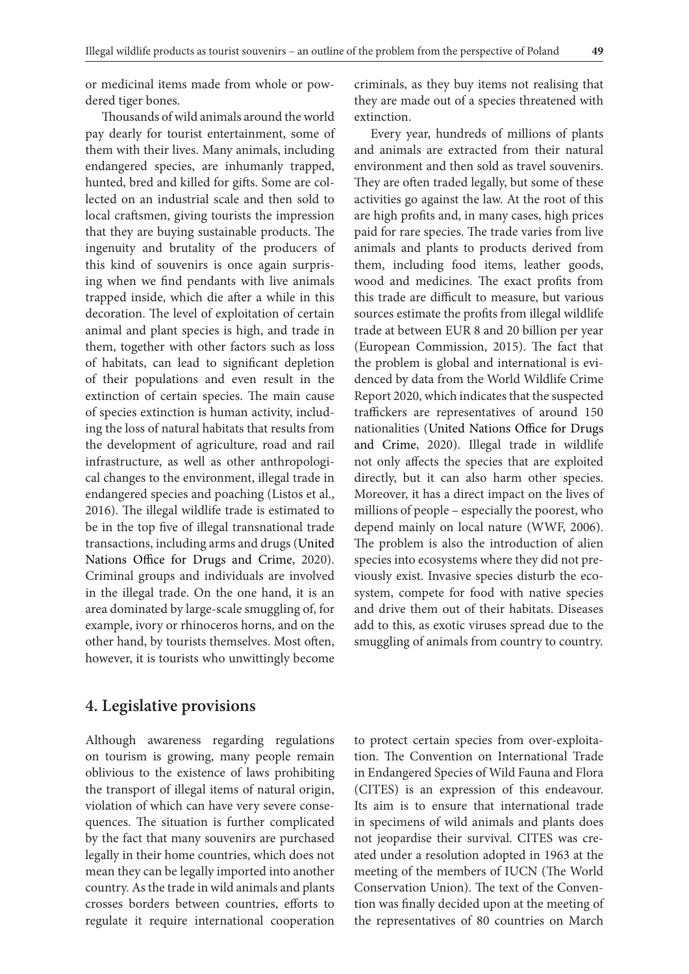or medicinal items made from whole or powdered tiger bones.

Thousands of wild animals around the world pay dearly for tourist entertainment, some of them with their lives. Many animals, including endangered species, are inhumanly trapped, hunted, bred and killed for gifts. Some are collected on an industrial scale and then sold to local craftsmen, giving tourists the impression that they are buying sustainable products. The ingenuity and brutality of the producers of this kind of souvenirs is once again surprising when we find pendants with live animals trapped inside, which die after a while in this decoration. The level of exploitation of certain animal and plant species is high, and trade in them, together with other factors such as loss of habitats, can lead to significant depletion of their populations and even result in the extinction of certain species. The main cause of species extinction is human activity, including the loss of natural habitats that results from the development of agriculture, road and rail infrastructure, as well as other anthropological changes to the environment, illegal trade in endangered species and poaching (Listos et al., 2016). The illegal wildlife trade is estimated to be in the top five of illegal transnational trade transactions, including arms and drugs (United Nations Office for Drugs and Crime, 2020). Criminal groups and individuals are involved in the illegal trade. On the one hand, it is an area dominated by large-scale smuggling of, for example, ivory or rhinoceros horns, and on the other hand, by tourists themselves. Most often, however, it is tourists who unwittingly become

criminals, as they buy items not realising that they are made out of a species threatened with extinction.

Every year, hundreds of millions of plants and animals are extracted from their natural environment and then sold as travel souvenirs. They are often traded legally, but some of these activities go against the law. At the root of this are high profits and, in many cases, high prices paid for rare species. The trade varies from live animals and plants to products derived from them, including food items, leather goods, wood and medicines. The exact profits from this trade are difficult to measure, but various sources estimate the profits from illegal wildlife trade at between EUR 8 and 20 billion per year (European Commission, 2015). The fact that the problem is global and international is evidenced by data from the World Wildlife Crime Report 2020, which indicates that the suspected traffickers are representatives of around 150 nationalities (United Nations Office for Drugs and Crime, 2020). Illegal trade in wildlife not only affects the species that are exploited directly, but it can also harm other species. Moreover, it has a direct impact on the lives of millions of people – especially the poorest, who depend mainly on local nature (WWF, 2006). The problem is also the introduction of alien species into ecosystems where they did not previously exist. Invasive species disturb the ecosystem, compete for food with native species and drive them out of their habitats. Diseases add to this, as exotic viruses spread due to the smuggling of animals from country to country.

## **4. Legislative provisions**

Although awareness regarding regulations on tourism is growing, many people remain oblivious to the existence of laws prohibiting the transport of illegal items of natural origin, violation of which can have very severe consequences. The situation is further complicated by the fact that many souvenirs are purchased legally in their home countries, which does not mean they can be legally imported into another country. As the trade in wild animals and plants crosses borders between countries, efforts to regulate it require international cooperation

to protect certain species from over-exploitation. The Convention on International Trade in Endangered Species of Wild Fauna and Flora (CITES) is an expression of this endeavour. Its aim is to ensure that international trade in specimens of wild animals and plants does not jeopardise their survival. CITES was created under a resolution adopted in 1963 at the meeting of the members of IUCN (The World Conservation Union). The text of the Convention was finally decided upon at the meeting of the representatives of 80 countries on March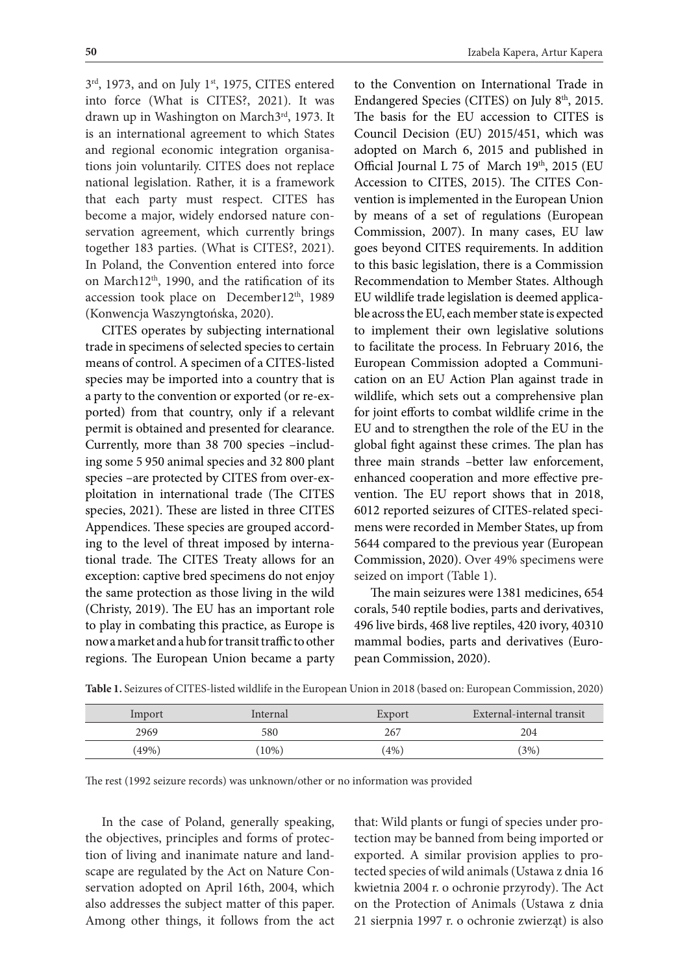3<sup>rd</sup>, 1973, and on July 1<sup>st</sup>, 1975, CITES entered into force (What is CITES?, 2021). It was drawn up in Washington on March3<sup>rd</sup>, 1973. It is an international agreement to which States and regional economic integration organisations join voluntarily. CITES does not replace national legislation. Rather, it is a framework that each party must respect. CITES has become a major, widely endorsed nature conservation agreement, which currently brings together 183 parties. (What is CITES?, 2021). In Poland, the Convention entered into force on March12th, 1990, and the ratification of its accession took place on December12<sup>th</sup>, 1989 (Konwencja Waszyngtońska, 2020).

CITES operates by subjecting international trade in specimens of selected species to certain means of control. A specimen of a CITES-listed species may be imported into a country that is a party to the convention or exported (or re-exported) from that country, only if a relevant permit is obtained and presented for clearance. Currently, more than 38 700 species –including some 5 950 animal species and 32 800 plant species –are protected by CITES from over-exploitation in international trade (The CITES species, 2021). These are listed in three CITES Appendices. These species are grouped according to the level of threat imposed by international trade. The CITES Treaty allows for an exception: captive bred specimens do not enjoy the same protection as those living in the wild (Christy, 2019). The EU has an important role to play in combating this practice, as Europe is now a market and a hub for transit traffic to other regions. The European Union became a party

to the Convention on International Trade in Endangered Species (CITES) on July 8<sup>th</sup>, 2015. The basis for the EU accession to CITES is Council Decision (EU) 2015/451, which was adopted on March 6, 2015 and published in Official Journal L 75 of March 19th, 2015 (EU Accession to CITES, 2015). The CITES Convention is implemented in the European Union by means of a set of regulations (European Commission, 2007). In many cases, EU law goes beyond CITES requirements. In addition to this basic legislation, there is a Commission Recommendation to Member States. Although EU wildlife trade legislation is deemed applicable across the EU, each member state is expected to implement their own legislative solutions to facilitate the process. In February 2016, the European Commission adopted a Communication on an EU Action Plan against trade in wildlife, which sets out a comprehensive plan for joint efforts to combat wildlife crime in the EU and to strengthen the role of the EU in the global fight against these crimes. The plan has three main strands –better law enforcement, enhanced cooperation and more effective prevention. The EU report shows that in 2018, 6012 reported seizures of CITES-related specimens were recorded in Member States, up from 5644 compared to the previous year (European Commission, 2020). Over 49% specimens were seized on import (Table 1).

The main seizures were 1381 medicines, 654 corals, 540 reptile bodies, parts and derivatives, 496 live birds, 468 live reptiles, 420 ivory, 40310 mammal bodies, parts and derivatives (European Commission, 2020).

| Import | Internal | Export | External-internal transit |
|--------|----------|--------|---------------------------|
| 2969   | 580      | 267    | 204                       |
| (49%)  | $10\%)$  | (4%)   | (3%)                      |

**Table 1.** Seizures of CITES-listed wildlife in the European Union in 2018 (based on: European Commission, 2020)

The rest (1992 seizure records) was unknown/other or no information was provided

In the case of Poland, generally speaking, the objectives, principles and forms of protection of living and inanimate nature and landscape are regulated by the Act on Nature Conservation adopted on April 16th, 2004, which also addresses the subject matter of this paper. Among other things, it follows from the act

that: Wild plants or fungi of species under protection may be banned from being imported or exported. A similar provision applies to protected species of wild animals (Ustawa z dnia 16 kwietnia 2004 r. o ochronie przyrody). The Act on the Protection of Animals (Ustawa z dnia 21 sierpnia 1997 r. o ochronie zwierząt) is also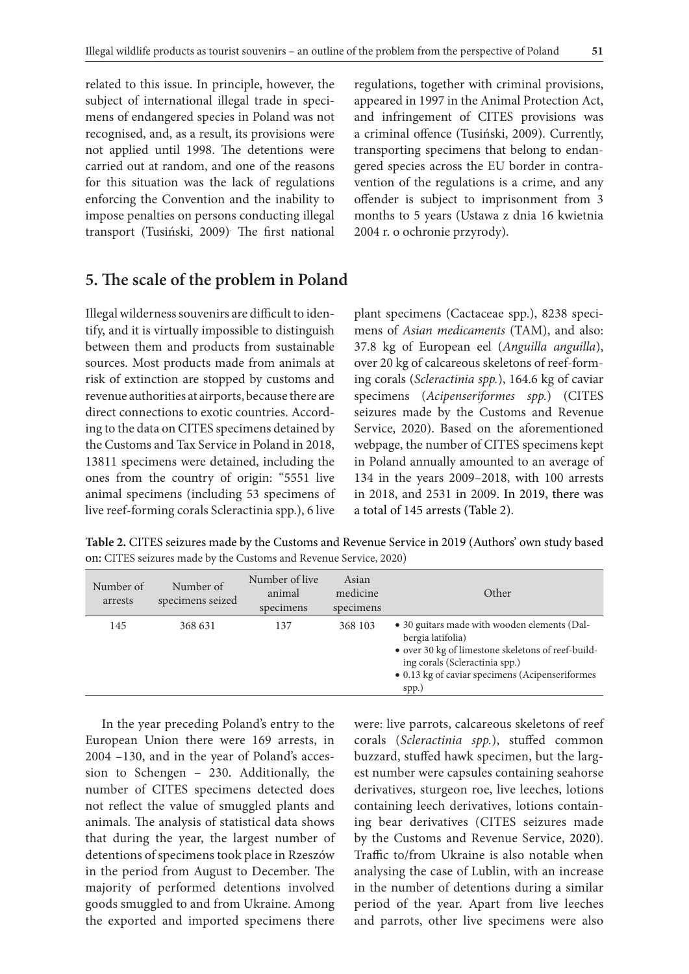related to this issue. In principle, however, the subject of international illegal trade in specimens of endangered species in Poland was not recognised, and, as a result, its provisions were not applied until 1998. The detentions were carried out at random, and one of the reasons for this situation was the lack of regulations enforcing the Convention and the inability to impose penalties on persons conducting illegal transport (Tusiński, 2009). The first national

regulations, together with criminal provisions, appeared in 1997 in the Animal Protection Act, and infringement of CITES provisions was a criminal offence (Tusiński, 2009). Currently, transporting specimens that belong to endangered species across the EU border in contravention of the regulations is a crime, and any offender is subject to imprisonment from 3 months to 5 years (Ustawa z dnia 16 kwietnia 2004 r. o ochronie przyrody).

## **5. The scale of the problem in Poland**

Illegal wilderness souvenirs are difficult to identify, and it is virtually impossible to distinguish between them and products from sustainable sources. Most products made from animals at risk of extinction are stopped by customs and revenue authorities at airports, because there are direct connections to exotic countries. According to the data on CITES specimens detained by the Customs and Tax Service in Poland in 2018, 13811 specimens were detained, including the ones from the country of origin: "5551 live animal specimens (including 53 specimens of live reef-forming corals Scleractinia spp.), 6 live

plant specimens (Cactaceae spp.), 8238 specimens of *Asian medicaments* (TAM), and also: 37.8 kg of European eel (*Anguilla anguilla*), over 20 kg of calcareous skeletons of reef-forming corals (*Scleractinia spp.*), 164.6 kg of caviar specimens (*Acipenseriformes spp.*) (CITES seizures made by the Customs and Revenue Service, 2020). Based on the aforementioned webpage, the number of CITES specimens kept in Poland annually amounted to an average of 134 in the years 2009–2018, with 100 arrests in 2018, and 2531 in 2009. In 2019, there was a total of 145 arrests (Table 2).

**Table 2.** CITES seizures made by the Customs and Revenue Service in 2019 (Authors' own study based on: CITES seizures made by the Customs and Revenue Service, 2020)

| Number of<br>arrests | Number of<br>specimens seized | Number of live<br>animal<br>specimens | Asian<br>medicine<br>specimens | Other                                                                                                                                                                                                                 |
|----------------------|-------------------------------|---------------------------------------|--------------------------------|-----------------------------------------------------------------------------------------------------------------------------------------------------------------------------------------------------------------------|
| 145                  | 368 631                       | 137                                   | 368 103                        | • 30 guitars made with wooden elements (Dal-<br>bergia latifolia)<br>• over 30 kg of limestone skeletons of reef-build-<br>ing corals (Scleractinia spp.)<br>• 0.13 kg of caviar specimens (Acipenseriformes<br>spp.) |

In the year preceding Poland's entry to the European Union there were 169 arrests, in 2004 –130, and in the year of Poland's accession to Schengen – 230. Additionally, the number of CITES specimens detected does not reflect the value of smuggled plants and animals. The analysis of statistical data shows that during the year, the largest number of detentions of specimens took place in Rzeszów in the period from August to December. The majority of performed detentions involved goods smuggled to and from Ukraine. Among the exported and imported specimens there

were: live parrots, calcareous skeletons of reef corals (*Scleractinia spp.*), stuffed common buzzard, stuffed hawk specimen, but the largest number were capsules containing seahorse derivatives, sturgeon roe, live leeches, lotions containing leech derivatives, lotions containing bear derivatives (CITES seizures made by the Customs and Revenue Service, 2020). Traffic to/from Ukraine is also notable when analysing the case of Lublin, with an increase in the number of detentions during a similar period of the year. Apart from live leeches and parrots, other live specimens were also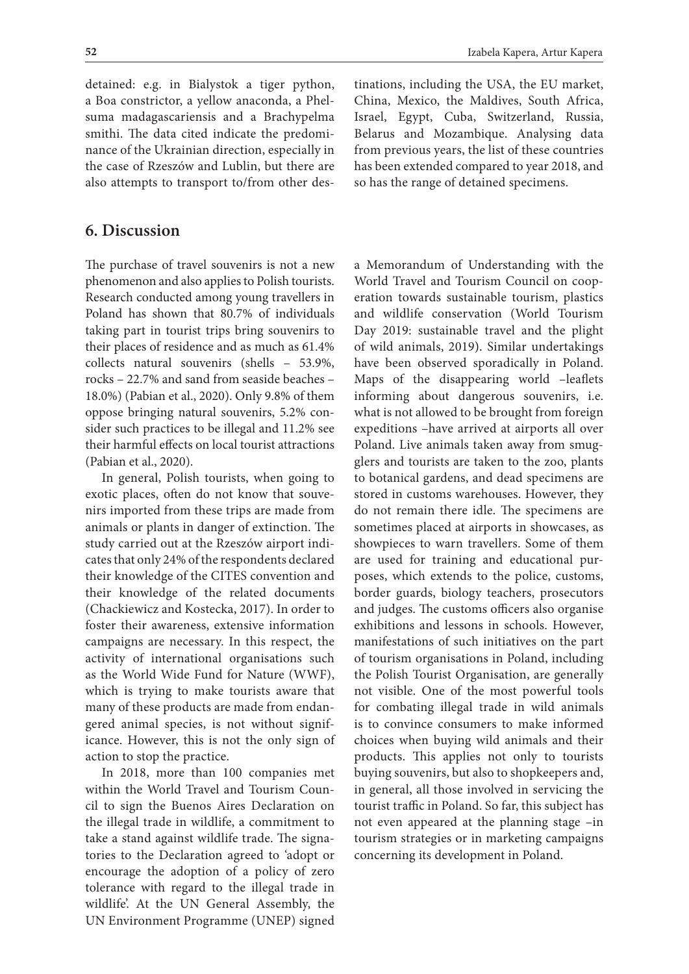detained: e.g. in Bialystok a tiger python, a Boa constrictor, a yellow anaconda, a Phelsuma madagascariensis and a Brachypelma smithi. The data cited indicate the predominance of the Ukrainian direction, especially in the case of Rzeszów and Lublin, but there are also attempts to transport to/from other des-

## **6. Discussion**

The purchase of travel souvenirs is not a new phenomenon and also applies to Polish tourists. Research conducted among young travellers in Poland has shown that 80.7% of individuals taking part in tourist trips bring souvenirs to their places of residence and as much as 61.4% collects natural souvenirs (shells – 53.9%, rocks – 22.7% and sand from seaside beaches – 18.0%) (Pabian et al., 2020). Only 9.8% of them oppose bringing natural souvenirs, 5.2% consider such practices to be illegal and 11.2% see their harmful effects on local tourist attractions (Pabian et al., 2020).

In general, Polish tourists, when going to exotic places, often do not know that souvenirs imported from these trips are made from animals or plants in danger of extinction. The study carried out at the Rzeszów airport indicates that only 24% of the respondents declared their knowledge of the CITES convention and their knowledge of the related documents (Chackiewicz and Kostecka, 2017). In order to foster their awareness, extensive information campaigns are necessary. In this respect, the activity of international organisations such as the World Wide Fund for Nature (WWF), which is trying to make tourists aware that many of these products are made from endangered animal species, is not without significance. However, this is not the only sign of action to stop the practice.

In 2018, more than 100 companies met within the World Travel and Tourism Council to sign the Buenos Aires Declaration on the illegal trade in wildlife, a commitment to take a stand against wildlife trade. The signatories to the Declaration agreed to 'adopt or encourage the adoption of a policy of zero tolerance with regard to the illegal trade in wildlife'. At the UN General Assembly, the UN Environment Programme (UNEP) signed

tinations, including the USA, the EU market, China, Mexico, the Maldives, South Africa, Israel, Egypt, Cuba, Switzerland, Russia, Belarus and Mozambique. Analysing data from previous years, the list of these countries has been extended compared to year 2018, and so has the range of detained specimens.

a Memorandum of Understanding with the World Travel and Tourism Council on cooperation towards sustainable tourism, plastics and wildlife conservation (World Tourism Day 2019: sustainable travel and the plight of wild animals, 2019). Similar undertakings have been observed sporadically in Poland. Maps of the disappearing world –leaflets informing about dangerous souvenirs, i.e. what is not allowed to be brought from foreign expeditions –have arrived at airports all over Poland. Live animals taken away from smugglers and tourists are taken to the zoo, plants to botanical gardens, and dead specimens are stored in customs warehouses. However, they do not remain there idle. The specimens are sometimes placed at airports in showcases, as showpieces to warn travellers. Some of them are used for training and educational purposes, which extends to the police, customs, border guards, biology teachers, prosecutors and judges. The customs officers also organise exhibitions and lessons in schools. However, manifestations of such initiatives on the part of tourism organisations in Poland, including the Polish Tourist Organisation, are generally not visible. One of the most powerful tools for combating illegal trade in wild animals is to convince consumers to make informed choices when buying wild animals and their products. This applies not only to tourists buying souvenirs, but also to shopkeepers and, in general, all those involved in servicing the tourist traffic in Poland. So far, this subject has not even appeared at the planning stage –in tourism strategies or in marketing campaigns concerning its development in Poland.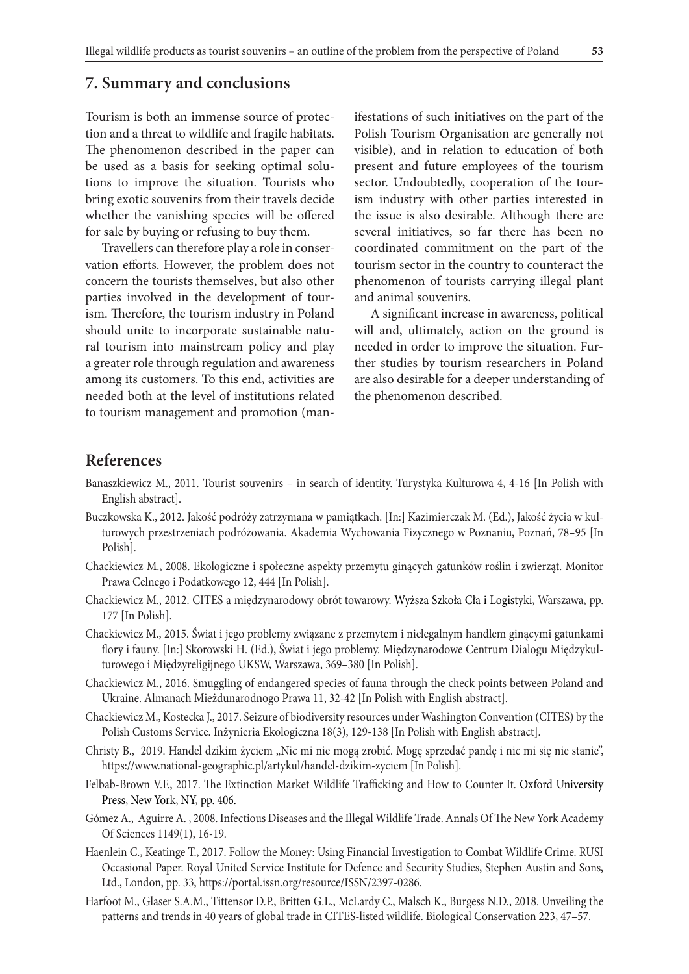## **7. Summary and conclusions**

Tourism is both an immense source of protection and a threat to wildlife and fragile habitats. The phenomenon described in the paper can be used as a basis for seeking optimal solutions to improve the situation. Tourists who bring exotic souvenirs from their travels decide whether the vanishing species will be offered for sale by buying or refusing to buy them.

Travellers can therefore play a role in conservation efforts. However, the problem does not concern the tourists themselves, but also other parties involved in the development of tourism. Therefore, the tourism industry in Poland should unite to incorporate sustainable natural tourism into mainstream policy and play a greater role through regulation and awareness among its customers. To this end, activities are needed both at the level of institutions related to tourism management and promotion (manifestations of such initiatives on the part of the Polish Tourism Organisation are generally not visible), and in relation to education of both present and future employees of the tourism sector. Undoubtedly, cooperation of the tourism industry with other parties interested in the issue is also desirable. Although there are several initiatives, so far there has been no coordinated commitment on the part of the tourism sector in the country to counteract the phenomenon of tourists carrying illegal plant and animal souvenirs.

A significant increase in awareness, political will and, ultimately, action on the ground is needed in order to improve the situation. Further studies by tourism researchers in Poland are also desirable for a deeper understanding of the phenomenon described.

## **References**

- Banaszkiewicz M., 2011. Tourist souvenirs in search of identity. Turystyka Kulturowa 4, 4-16 [In Polish with English abstract].
- Buczkowska K., 2012. Jakość podróży zatrzymana w pamiątkach. [In:] Kazimierczak M. (Ed.), Jakość życia w kulturowych przestrzeniach podróżowania. Akademia Wychowania Fizycznego w Poznaniu, Poznań, 78–95 [In Polish].
- Chackiewicz M., 2008. Ekologiczne i społeczne aspekty przemytu ginących gatunków roślin i zwierząt. Monitor Prawa Celnego i Podatkowego 12, 444 [In Polish].
- Chackiewicz M., 2012. CITES a międzynarodowy obrót towarowy. Wyższa Szkoła Cła i Logistyki, Warszawa, pp. 177 [In Polish].
- Chackiewicz M., 2015. Świat i jego problemy związane z przemytem i nielegalnym handlem ginącymi gatunkami flory i fauny. [In:] Skorowski H. (Ed.), Świat i jego problemy. Międzynarodowe Centrum Dialogu Międzykulturowego i Międzyreligijnego UKSW, Warszawa, 369–380 [In Polish].
- Chackiewicz M., 2016. Smuggling of endangered species of fauna through the check points between Poland and Ukraine. Almanach Mieżdunarodnogo Prawa 11, 32-42 [In Polish with English abstract].
- Chackiewicz M., Kostecka J., 2017. Seizure of biodiversity resources under Washington Convention (CITES) by the Polish Customs Service. Inżynieria Ekologiczna 18(3), 129-138 [In Polish with English abstract].
- Christy B., 2019. Handel dzikim życiem "Nic mi nie mogą zrobić. Mogę sprzedać pandę i nic mi się nie stanie", https://www.national-geographic.pl/artykul/handel-dzikim-zyciem [In Polish].
- Felbab-Brown V.F., 2017. The Extinction Market Wildlife Trafficking and How to Counter It. Oxford University Press, New York, NY, pp. 406.
- Gómez A., Aguirre A. , 2008. Infectious Diseases and the Illegal Wildlife Trade. Annals Of The New York Academy Of Sciences 1149(1), 16-19.
- Haenlein C., Keatinge T., 2017. Follow the Money: Using Financial Investigation to Combat Wildlife Crime. RUSI Occasional Paper. Royal United Service Institute for Defence and Security Studies, Stephen Austin and Sons, Ltd., London, pp. 33, https://portal.issn.org/resource/ISSN/2397-0286.
- Harfoot M., Glaser S.A.M., Tittensor D.P., Britten G.L., McLardy C., Malsch K., Burgess N.D., 2018. Unveiling the patterns and trends in 40 years of global trade in CITES-listed wildlife. Biological Conservation 223, 47–57.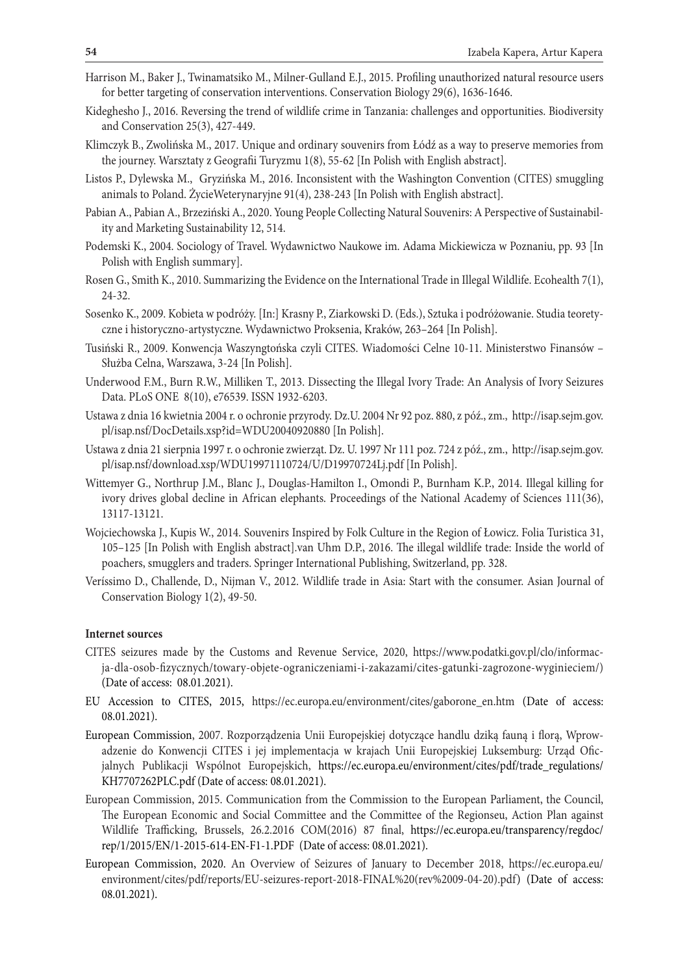- Harrison M., Baker J., Twinamatsiko M., Milner-Gulland E.J., 2015. Profiling unauthorized natural resource users for better targeting of conservation interventions. Conservation Biology 29(6), 1636-1646.
- Kideghesho J., 2016. Reversing the trend of wildlife crime in Tanzania: challenges and opportunities. Biodiversity and Conservation 25(3), 427-449.
- Klimczyk B., Zwolińska M., 2017. Unique and ordinary souvenirs from Łódź as a way to preserve memories from the journey. Warsztaty z Geografii Turyzmu 1(8), 55-62 [In Polish with English abstract].
- Listos P., Dylewska M., Gryzińska M., 2016. Inconsistent with the Washington Convention (CITES) smuggling animals to Poland. ŻycieWeterynaryjne 91(4), 238-243 [In Polish with English abstract].
- Pabian A., Pabian A., Brzeziński A., 2020. Young People Collecting Natural Souvenirs: A Perspective of Sustainability and Marketing Sustainability 12, 514.
- Podemski K., 2004. Sociology of Travel. Wydawnictwo Naukowe im. Adama Mickiewicza w Poznaniu, pp. 93 [In Polish with English summary].
- Rosen G., Smith K., 2010. Summarizing the Evidence on the International Trade in Illegal Wildlife. Ecohealth 7(1), 24-32.
- Sosenko K., 2009. Kobieta w podróży. [In:] Krasny P., Ziarkowski D. (Eds.), Sztuka i podróżowanie. Studia teoretyczne i historyczno-artystyczne. Wydawnictwo Proksenia, Kraków, 263–264 [In Polish].
- Tusiński R., 2009. Konwencja Waszyngtońska czyli CITES. Wiadomości Celne 10-11. Ministerstwo Finansów Służba Celna, Warszawa, 3-24 [In Polish].
- Underwood F.M., Burn R.W., Milliken T., 2013. Dissecting the Illegal Ivory Trade: An Analysis of Ivory Seizures Data. PLoS ONE 8(10), e76539. ISSN 1932-6203.
- Ustawa z dnia 16 kwietnia 2004 r. o ochronie przyrody. Dz.U. 2004 Nr 92 poz. 880, z póź., zm., http://isap.sejm.gov. pl/isap.nsf/DocDetails.xsp?id=WDU20040920880 [In Polish].
- Ustawa z dnia 21 sierpnia 1997 r. o ochronie zwierząt. Dz. U. 1997 Nr 111 poz. 724 z póź., zm., http://isap.sejm.gov. pl/isap.nsf/download.xsp/WDU19971110724/U/D19970724Lj.pdf [In Polish].
- Wittemyer G., Northrup J.M., Blanc J., Douglas-Hamilton I., Omondi P., Burnham K.P., 2014. Illegal killing for ivory drives global decline in African elephants. Proceedings of the National Academy of Sciences 111(36), 13117-13121.
- Wojciechowska J., Kupis W., 2014. Souvenirs Inspired by Folk Culture in the Region of Łowicz. Folia Turistica 31, 105–125 [In Polish with English abstract].van Uhm D.P., 2016. The illegal wildlife trade: Inside the world of poachers, smugglers and traders. Springer International Publishing, Switzerland, pp. 328.
- Veríssimo D., Challende, D., Nijman V., 2012. Wildlife trade in Asia: Start with the consumer. Asian Journal of Conservation Biology 1(2), 49-50.

#### **Internet sources**

- CITES seizures made by the Customs and Revenue Service, 2020, https://www.podatki.gov.pl/clo/informacja-dla-osob-fizycznych/towary-objete-ograniczeniami-i-zakazami/cites-gatunki-zagrozone-wyginieciem/) (Date of access: 08.01.2021).
- EU Accession to CITES, 2015, https://ec.europa.eu/environment/cites/gaborone en.htm (Date of access: 08.01.2021).
- European Commission, 2007. Rozporządzenia Unii Europejskiej dotyczące handlu dziką fauną i florą, Wprowadzenie do Konwencji CITES i jej implementacja w krajach Unii Europejskiej Luksemburg: Urząd Oficjalnych Publikacji Wspólnot Europejskich, https://ec.europa.eu/environment/cites/pdf/trade\_regulations/ KH7707262PLC.pdf (Date of access: 08.01.2021).
- European Commission, 2015. Communication from the Commission to the European Parliament, the Council, The European Economic and Social Committee and the Committee of the Regionseu, Action Plan against Wildlife Trafficking, Brussels, 26.2.2016 COM(2016) 87 final, https://ec.europa.eu/transparency/regdoc/ rep/1/2015/EN/1-2015-614-EN-F1-1.PDF (Date of access: 08.01.2021).
- European Commission, 2020. An Overview of Seizures of January to December 2018, https://ec.europa.eu/ environment/cites/pdf/reports/EU-seizures-report-2018-FINAL%20(rev%2009-04-20).pdf) (Date of access: 08.01.2021).